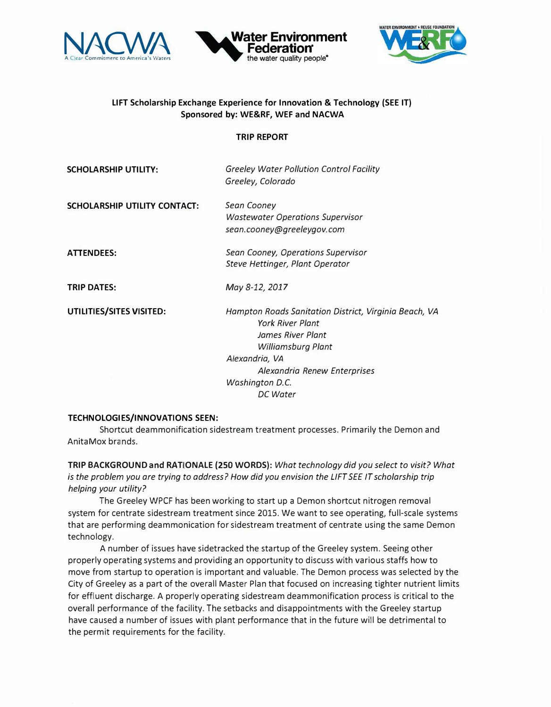





## **LIFT Scholarship Exchange Experience for Innovation & Technology (SEE IT) Sponsored by: WE&RF, WEF and NACWA**

## **TRIP REPORT**

| <b>SCHOLARSHIP UTILITY:</b>         | <b>Greeley Water Pollution Control Facility</b><br>Greeley, Colorado                                                                                 |
|-------------------------------------|------------------------------------------------------------------------------------------------------------------------------------------------------|
| <b>SCHOLARSHIP UTILITY CONTACT:</b> | Sean Cooney<br><b>Wastewater Operations Supervisor</b><br>sean.cooney@greeleygov.com                                                                 |
| <b>ATTENDEES:</b>                   | Sean Cooney, Operations Supervisor<br>Steve Hettinger, Plant Operator                                                                                |
| <b>TRIP DATES:</b>                  | May 8-12, 2017                                                                                                                                       |
| UTILITIES/SITES VISITED:            | Hampton Roads Sanitation District, Virginia Beach, VA<br><b>York River Plant</b><br>James River Plant<br><b>Williamsburg Plant</b><br>Alexandria, VA |
|                                     | Alexandria Renew Enterprises<br>Washington D.C.                                                                                                      |
|                                     | DC Water                                                                                                                                             |

## **TECHNOLOGIES/INNOVATIONS SEEN:**

Shortcut deammonification sidestream treatment processes. Primarily the Demon and AnitaMox brands.

**TRIP BACKGROUND and RATIONALE (250 WORDS):** *What technology did you select to visit? What is the problem you are trying to address? How did you envision the LIFT SEE IT scholarship trip helping your utility?* 

The Greeley WPCF has been working to start up a Demon shortcut nitrogen removal system for centrate sidestream treatment since 2015. We want to see operating, full-scale systems that are performing deammonication for sidestream treatment of centrate using the same Demon technology.

A number of issues have sidetracked the startup of the Greeley system. Seeing other properly operating systems and providing an opportunity to discuss with various staffs how to move from startup to operation is important and valuable. The Demon process was selected by the City of Greeley as a part of the overall Master Plan that focused on increasing tighter nutrient limits for effluent discharge. A properly operating sidestream deammonification process is critical to the overall performance of the facility. The setbacks and disappointments with the Greeley startup have caused a number of issues with plant performance that in the future will be detrimental to the permit requirements for the facility.